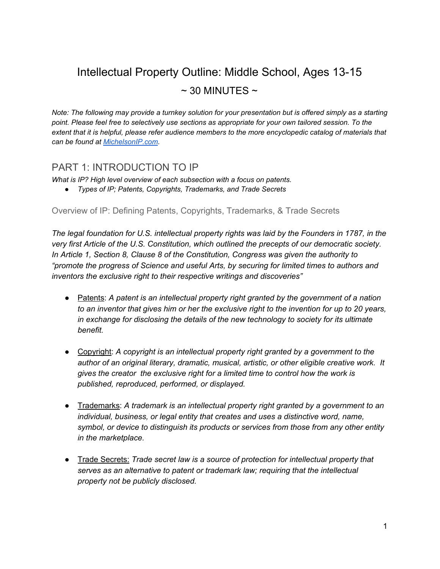# Intellectual Property Outline: Middle School, Ages 13-15  $\sim$  30 MINUTES  $\sim$

*Note: The following may provide a turnkey solution for your presentation but is offered simply as a starting point. Please feel free to selectively use sections as appropriate for your own tailored session. To the extent that it is helpful, please refer audience members to the more encyclopedic catalog of materials that can be found at [MichelsonIP.com.](http://michelsonip.com/intangible-advantage/)*

## PART 1: INTRODUCTION TO IP

*What is IP? High level overview of each subsection with a focus on patents.*

*● Types of IP; Patents, Copyrights, Trademarks, and Trade Secrets*

Overview of IP: Defining Patents, Copyrights, Trademarks, & Trade Secrets

*The legal foundation for U.S. intellectual property rights was laid by the Founders in 1787, in the very first Article of the U.S. Constitution, which outlined the precepts of our democratic society. In Article 1, Section 8, Clause 8 of the Constitution, Congress was given the authority to "promote the progress of Science and useful Arts, by securing for limited times to authors and inventors the exclusive right to their respective writings and discoveries"*

- Patents: *A patent is an intellectual property right granted by the government of a nation to an inventor that gives him or her the exclusive right to the invention for up to 20 years, in exchange for disclosing the details of the new technology to society for its ultimate benefit.*
- Copyright: *A copyright is an intellectual property right granted by a government to the author of an original literary, dramatic, musical, artistic, or other eligible creative work. It gives the creator the exclusive right for a limited time to control how the work is published, reproduced, performed, or displayed.*
- Trademarks: *A trademark is an intellectual property right granted by a government to an individual, business, or legal entity that creates and uses a distinctive word, name, symbol, or device to distinguish its products or services from those from any other entity in the marketplace.*
- Trade Secrets: *Trade secret law is a source of protection for intellectual property that serves as an alternative to patent or trademark law; requiring that the intellectual property not be publicly disclosed.*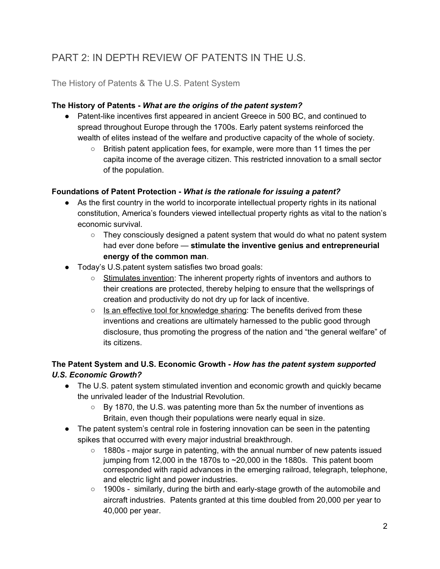# PART 2: IN DEPTH REVIEW OF PATENTS IN THE U.S.

#### The History of Patents & The U.S. Patent System

#### **The History of Patents -** *What are the origins of the patent system?*

- Patent-like incentives first appeared in ancient Greece in 500 BC, and continued to spread throughout Europe through the 1700s. Early patent systems reinforced the wealth of elites instead of the welfare and productive capacity of the whole of society.
	- British patent application fees, for example, were more than 11 times the per capita income of the average citizen. This restricted innovation to a small sector of the population.

#### **Foundations of Patent Protection -** *W hat is the rationale for issuing a patent?*

- **●** As the first country in the world to incorporate intellectual property rights in its national constitution, America's founders viewed intellectual property rights as vital to the nation's economic survival.
	- **○** They consciously designed a patent system that would do what no patent system had ever done before — **stimulate the inventive genius and entrepreneurial energy of the common man**.
- Today's U.S.patent system satisfies two broad goals:
	- Stimulates invention: The inherent property rights of inventors and authors to their creations are protected, thereby helping to ensure that the wellsprings of creation and productivity do not dry up for lack of incentive.
	- $\circ$  Is an effective tool for knowledge sharing: The benefits derived from these inventions and creations are ultimately harnessed to the public good through disclosure, thus promoting the progress of the nation and "the general welfare" of its citizens.

#### **The Patent System and U.S. Economic Growth -** *How has the patent system supported U.S. Economic Growth?*

- The U.S. patent system stimulated invention and economic growth and quickly became the unrivaled leader of the Industrial Revolution.
	- $\circ$  By 1870, the U.S. was patenting more than 5x the number of inventions as Britain, even though their populations were nearly equal in size.
- The patent system's central role in fostering innovation can be seen in the patenting spikes that occurred with every major industrial breakthrough.
	- 1880s major surge in patenting, with the annual number of new patents issued jumping from 12,000 in the 1870s to  $\sim$  20,000 in the 1880s. This patent boom corresponded with rapid advances in the emerging railroad, telegraph, telephone, and electric light and power industries.
	- 1900s similarly, during the birth and early-stage growth of the automobile and aircraft industries. Patents granted at this time doubled from 20,000 per year to 40,000 per year.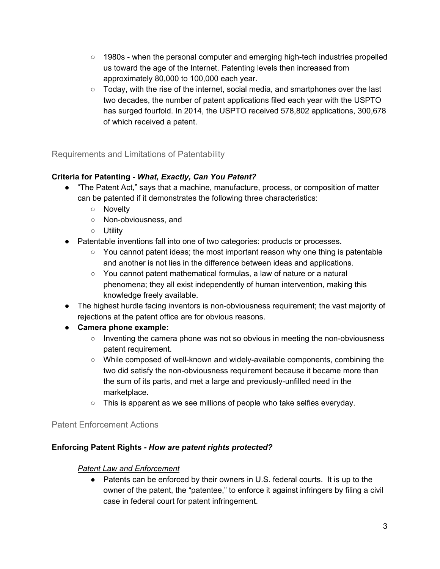- 1980s when the personal computer and emerging high-tech industries propelled us toward the age of the Internet. Patenting levels then increased from approximately 80,000 to 100,000 each year.
- Today, with the rise of the internet, social media, and smartphones over the last two decades, the number of patent applications filed each year with the USPTO has surged fourfold. In 2014, the USPTO received 578,802 applications, 300,678 of which received a patent.

#### Requirements and Limitations of Patentability

#### **Criteria for Patenting -** *What, Exactly, Can You Patent?*

- "The Patent Act," says that a machine, manufacture, process, or composition of matter can be patented if it demonstrates the following three characteristics:
	- Novelty
	- Non-obviousness, and
	- Utility
- Patentable inventions fall into one of two categories: products or processes.
	- $\circ$  You cannot patent ideas; the most important reason why one thing is patentable and another is not lies in the difference between ideas and applications.
	- You cannot patent mathematical formulas, a law of nature or a natural phenomena; they all exist independently of human intervention, making this knowledge freely available.
- The highest hurdle facing inventors is non-obviousness requirement; the vast majority of rejections at the patent office are for obvious reasons.
- **● Camera phone example:**
	- Inventing the camera phone was not so obvious in meeting the non-obviousness patent requirement.
	- While composed of well-known and widely-available components, combining the two did satisfy the non-obviousness requirement because it became more than the sum of its parts, and met a large and previously-unfilled need in the marketplace.
	- This is apparent as we see millions of people who take selfies everyday.

#### Patent Enforcement Actions

#### **Enforcing Patent Rights -** *How are patent rights protected?*

#### *Patent Law and Enforcement*

● Patents can be enforced by their owners in U.S. federal courts. It is up to the owner of the patent, the "patentee," to enforce it against infringers by filing a civil case in federal court for patent infringement.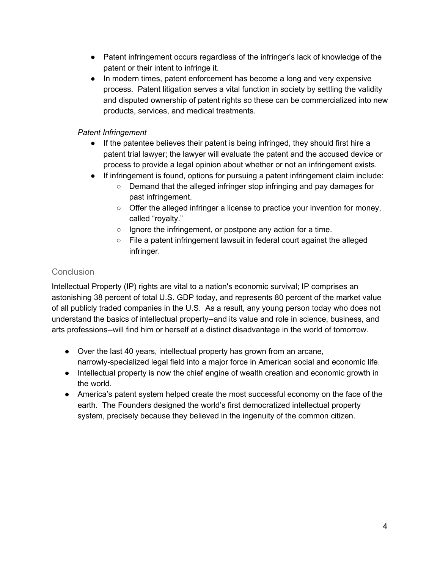- Patent infringement occurs regardless of the infringer's lack of knowledge of the patent or their intent to infringe it.
- In modern times, patent enforcement has become a long and very expensive process. Patent litigation serves a vital function in society by settling the validity and disputed ownership of patent rights so these can be commercialized into new products, services, and medical treatments.

#### *Patent Infringement*

- If the patentee believes their patent is being infringed, they should first hire a patent trial lawyer; the lawyer will evaluate the patent and the accused device or process to provide a legal opinion about whether or not an infringement exists.
- If infringement is found, options for pursuing a patent infringement claim include:
	- Demand that the alleged infringer stop infringing and pay damages for past infringement.
	- Offer the alleged infringer a license to practice your invention for money, called "royalty."
	- Ignore the infringement, or postpone any action for a time.
	- File a patent infringement lawsuit in federal court against the alleged infringer.

### **Conclusion**

Intellectual Property (IP) rights are vital to a nation's economic survival; IP comprises an astonishing 38 percent of total U.S. GDP today, and represents 80 percent of the market value of all publicly traded companies in the U.S. As a result, any young person today who does not understand the basics of intellectual property--and its value and role in science, business, and arts professions--will find him or herself at a distinct disadvantage in the world of tomorrow.

- Over the last 40 years, intellectual property has grown from an arcane, narrowly-specialized legal field into a major force in American social and economic life.
- Intellectual property is now the chief engine of wealth creation and economic growth in the world.
- America's patent system helped create the most successful economy on the face of the earth. The Founders designed the world's first democratized intellectual property system, precisely because they believed in the ingenuity of the common citizen.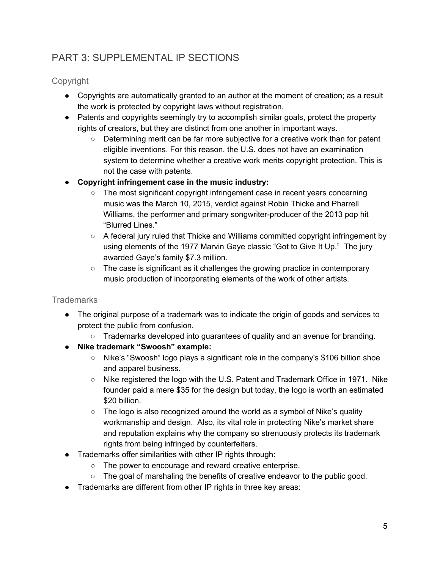# PART 3: SUPPLEMENTAL IP SECTIONS

Copyright

- Copyrights are automatically granted to an author at the moment of creation; as a result the work is protected by copyright laws without registration.
- Patents and copyrights seemingly try to accomplish similar goals, protect the property rights of creators, but they are distinct from one another in important ways.
	- Determining merit can be far more subjective for a creative work than for patent eligible inventions. For this reason, the U.S. does not have an examination system to determine whether a creative work merits copyright protection. This is not the case with patents.
- **● Copyright infringement case in the music industry:**
	- The most significant copyright infringement case in recent years concerning music was the March 10, 2015, verdict against Robin Thicke and Pharrell Williams, the performer and primary songwriter-producer of the 2013 pop hit "Blurred Lines."
	- A federal jury ruled that Thicke and Williams committed copyright infringement by using elements of the 1977 Marvin Gaye classic "Got to Give It Up." The jury awarded Gaye's family \$7.3 million.
	- The case is significant as it challenges the growing practice in contemporary music production of incorporating elements of the work of other artists.

### **Trademarks**

- The original purpose of a trademark was to indicate the origin of goods and services to protect the public from confusion.
	- $\circ$  Trademarks developed into quarantees of quality and an avenue for branding.
- **● Nike trademark "Swoosh" example:**
	- Nike's "Swoosh" logo plays a significant role in the company's \$106 billion shoe and apparel business.
	- Nike registered the logo with the U.S. Patent and Trademark Office in 1971. Nike founder paid a mere \$35 for the design but today, the logo is worth an estimated \$20 billion.
	- $\circ$  The logo is also recognized around the world as a symbol of Nike's quality workmanship and design. Also, its vital role in protecting Nike's market share and reputation explains why the company so strenuously protects its trademark rights from being infringed by counterfeiters.
- Trademarks offer similarities with other IP rights through:
	- The power to encourage and reward creative enterprise.
	- $\circ$  The goal of marshaling the benefits of creative endeavor to the public good.
- Trademarks are different from other IP rights in three key areas: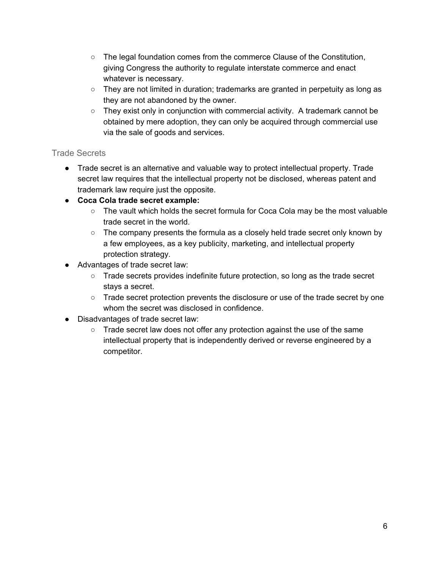- $\circ$  The legal foundation comes from the commerce Clause of the Constitution, giving Congress the authority to regulate interstate commerce and enact whatever is necessary.
- They are not limited in duration; trademarks are granted in perpetuity as long as they are not abandoned by the owner.
- They exist only in conjunction with commercial activity. A trademark cannot be obtained by mere adoption, they can only be acquired through commercial use via the sale of goods and services.

#### Trade Secrets

- Trade secret is an alternative and valuable way to protect intellectual property. Trade secret law requires that the intellectual property not be disclosed, whereas patent and trademark law require just the opposite.
- **Coca Cola trade secret example:**
	- The vault which holds the secret formula for Coca Cola may be the most valuable trade secret in the world.
	- The company presents the formula as a closely held trade secret only known by a few employees, as a key publicity, marketing, and intellectual property protection strategy.
- Advantages of trade secret law:
	- Trade secrets provides indefinite future protection, so long as the trade secret stays a secret.
	- Trade secret protection prevents the disclosure or use of the trade secret by one whom the secret was disclosed in confidence.
- Disadvantages of trade secret law:
	- $\circ$  Trade secret law does not offer any protection against the use of the same intellectual property that is independently derived or reverse engineered by a competitor.